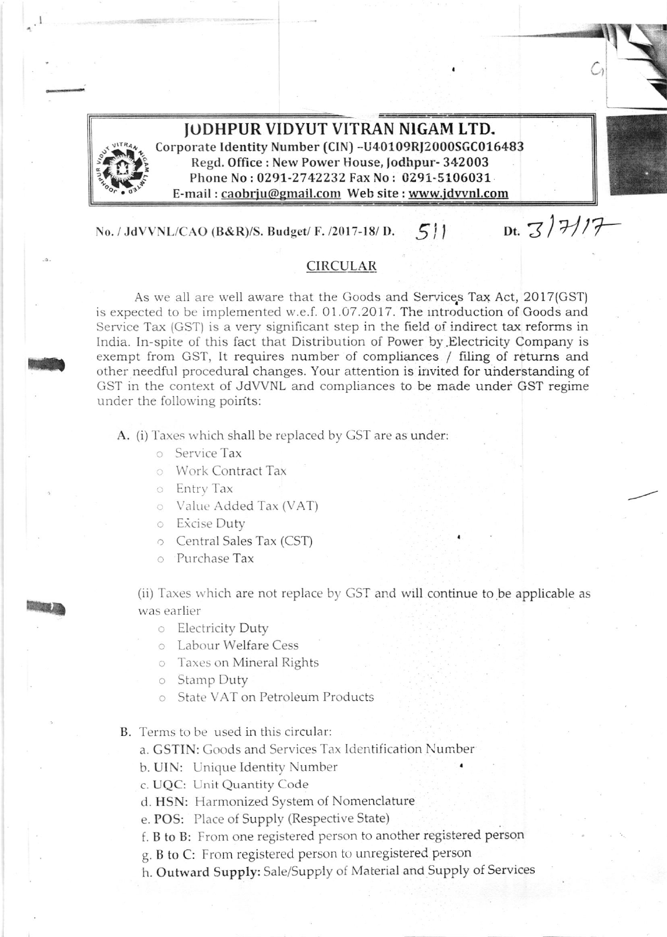

## JODHPUR VIDYUT VITRAN NIGAM LTD.

Corporate Identity Number (CIN) -U40109RJ2000SGC016483 Regd. Office: New Power House, Jodhpur-342003 Phone No: 0291-2742232 Fax No: 0291-5106031 E-mail: caobrju@gmail.com Web site: www.jdvvnl.com

Dt.  $317/7$ 

 $511$ No. / JdVVNL/CAO (B&R)/S. Budget/ F. /2017-18/ D.

## **CIRCULAR**

As we all are well aware that the Goods and Services Tax Act, 2017(GST) is expected to be implemented w.e.f. 01.07.2017. The introduction of Goods and Service Tax (GST) is a very significant step in the field of indirect tax reforms in India. In-spite of this fact that Distribution of Power by Electricity Company is exempt from GST, It requires number of compliances / filing of returns and other needful procedural changes. Your attention is invited for understanding of GST in the context of JdVVNL and compliances to be made under GST regime under the following points:

A. (i) Taxes which shall be replaced by GST are as under:

**Service Tax** 

**O** Work Contract Tax

o Entry Tax

O Value Added Tax (VAT)

o Excise Duty

○ Central Sales Tax (CST)

o Purchase Tax

(ii) Taxes which are not replace by GST and will continue to be applicable as was earlier

**Electricity Duty** 

**Compare Labour Welfare Cess** 

**C** Taxes on Mineral Rights

o Stamp Duty

State VAT on Petroleum Products  $\Omega$ 

B. Terms to be used in this circular:

a. GSTIN: Goods and Services Tax Identification Number

b. UIN: Unique Identity Number

c. UQC: Unit Quantity Code

d. HSN: Harmonized System of Nomenclature

e. POS: Place of Supply (Respective State)

f. B to B: From one registered person to another registered person

g. B to C: From registered person to unregistered person

h. Outward Supply: Sale/Supply of Material and Supply of Services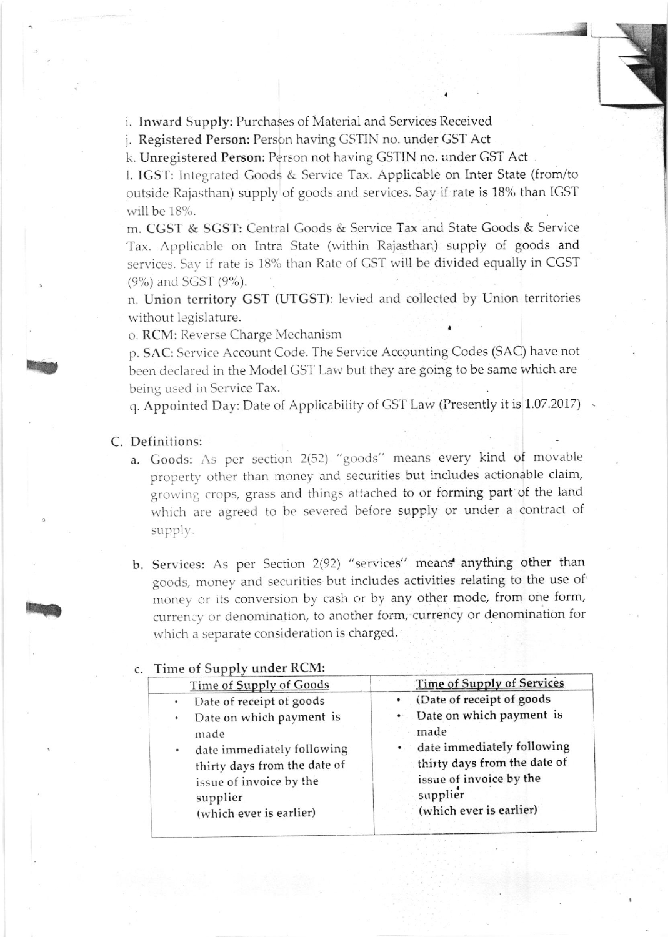i. Inward Supply: Purchases of Material and Services Received

j. Registered Person: Person having GSTIN no. under GST Act

k. Unregistered Person: Person not having GSTIN no. under GST Act

I. IGST: lntegrated Goods & Service Tar. Applicable on Inter State (from/to outside Rajasthan) supply of goods and services. Say if rate is 18% than IGST will be 18%.

\*\*J

m. CGST & SGST: Central Goods & Service Tax and State Goods & Service Tax. Applicable on Intra State (within Rajasthan) supply of goods and services. Say if rate is 18% than Rate of GST will be divided equally in CGST  $(9\%)$  and SGST  $(9\%).$ 

n. Union territory GST (UTGST): levied and collected by Union territories without legislature.

o. RCM: Reverse Charge Mechanism

p. SAC: Service Account Code. The Service Accounting Codes (SAC) have not been declared in the Model GST Law but they are going to be same which are being used in Service Tax.

q. Appointed Day: Date of Applicability of GST Law (Presently it is 1.07.2017).

## C. Definitions:

h

t,

- a. Goods: As per section 2(52) "goods" means every kind of movable property other than money and securities but includes actionable claim, growing crops, grass and things attached to or forming part of the land which are agreed to be severed before supply or under a contract of supply.
- b. Services: As per Section 2(92) "services" means anything other than goods, money and securities but includes activities relating to the use of' money or its conversion by cash or by any other mode, from one form, currency or denomination, to another form, currency or denomination for which a separate consideration is charged.

## c. Time of Supply under RCM:

| $\sum$                       |                                   |
|------------------------------|-----------------------------------|
| Time of Supply of Goods      | <b>Time of Supply of Services</b> |
| Date of receipt of goods     | · (Date of receipt of goods       |
| Date on which payment is     | • Date on which payment is        |
| made                         | made                              |
| date immediately following   | • date immediately following      |
| thirty days from the date of | thirty days from the date of      |
| issue of invoice by the      | issue of invoice by the           |
| supplier                     | supplier                          |
| (which ever is earlier)      | (which ever is earlier)           |
|                              |                                   |